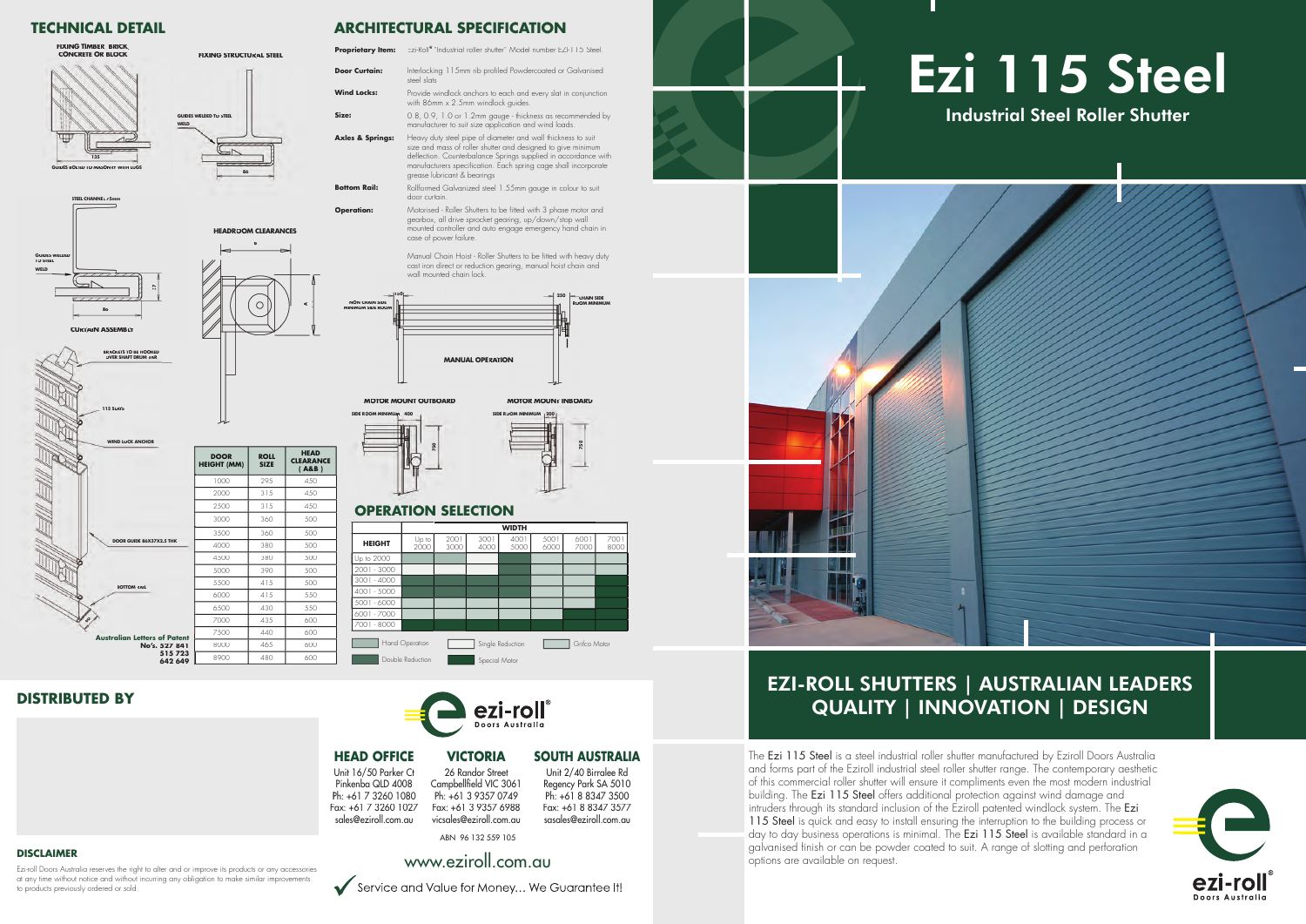# Ezi 115 Steel Industrial Steel Roller Shutter



## EZI-ROLL SHUTTERS | AUSTRALIAN LEADERS QUALITY | INNOVATION | DESIGN

The Ezi 115 Steel is a steel industrial roller shutter manufactured by Eziroll Doors Australia and forms part of the Eziroll industrial steel roller shutter range. The contemporary aesthetic of this commercial roller shutter will ensure it compliments even the most modern industrial building. The Ezi 115 Steel offers additional protection against wind damage and intruders through its standard inclusion of the Eziroll patented windlock system. The Ezi 115 Steel is quick and easy to install ensuring the interruption to the building process or day to day business operations is minimal. The Ezi 115 Steel is available standard in a galvanised finish or can be powder coated to suit. A range of slotting and perforation DISCLAIMER<br>Exiroll Doors Australia reserves the right to giter and or improve its products or any accessories **blue and or improve** its products or any accessories **blue and or improve** its products or any accessories **blu** 

Ezi-roll Doors Australia reserves the right to alter and or improve its products or any accessories at any time without notice and without incurring any obligation to make similar improvements to products previously ordered or sold.





## **DISTRIBUTED BY**

### **TECHNICAL DETAIL**

- **Proprietary Item:** Ezi-Roll® "Industrial roller shutter" Model number EZI-115 Steel **Door Curtain:** Interlocking 115mm rib profiled Powdercoated or Galvanised steel slats **Wind Locks:** Provide windlock anchors to each and every slat in conjunction with 86mm x 2.5mm windlock guides.
- **Size:** 0.8, 0.9, 1.0 or 1.2mm gauge thickness as recommended by manufacturer to suit size application and wind loads.
- Axles & Springs: Heavy duty steel pipe of diameter and wall thickness to suit size and mass of roller shutter and designed to give minimum deflection. Counterbalance Springs supplied in accordance with manufacturers specification. Each spring cage shall incorporate grease lubricant & bearings
- **Bottom Rail:** Rollformed Galvanized steel 1.55mm gauge in colour to suit door curtain.
- **Operation:** Motorised Roller Shutters to be fitted with 3 phase motor and gearbox, all drive sprocket gearing, up/down/stop wall mounted controller and auto engage emergency hand chain in case of power failure. **Operatio**

26 Randor Street Campbellfield VIC 3061 Ph: +61 3 9357 0749 Fax: +61 3 9357 6988 vicsales@eziroll.com.au

**ARCHITECTURAL SPECIFICATION**

Manual Chain Hoist - Roller Shutters to be fitted with heavy duty cast iron direct or reduction gearing, manual hoist chain and wall mounted chain lock mounted chain lock.

**MOTOR MOUNT INBOARD** 

**BOTTOM RAIL**

**Letters of Pate No's. 527 84** 

**60**

## **HEADROOM CLEARANCES B**  $\subset$ **A**



**MOTORMOUNT OUTBOARD**



**750**

|                                        | <b>DOOR</b><br><b>HEIGHT (MM)</b> | <b>ROLL</b><br><b>SIZE</b> | <b>HEAD</b><br><b>CLEARANCE</b><br>(AB) |
|----------------------------------------|-----------------------------------|----------------------------|-----------------------------------------|
|                                        | 1000                              | 295                        | 450                                     |
|                                        | 2000                              | 315                        | 450                                     |
| <b>X2.5 THK</b><br>of Patent<br>527841 | 2500                              | 315                        | 450                                     |
|                                        | 3000                              | 360                        | 500                                     |
|                                        | 3500                              | 360                        | 500                                     |
|                                        | 4000                              | 380                        | 500                                     |
|                                        | 4500                              | 380                        | 500                                     |
|                                        | 5000                              | 390                        | 500                                     |
|                                        | 5500                              | 415                        | 500                                     |
|                                        | 6000                              | 415                        | 550                                     |
|                                        | 6500                              | 430                        | 550                                     |
|                                        | 7000                              | 435                        | 600                                     |
|                                        | 7500                              | 440                        | 600                                     |
|                                        | 8000                              | 465                        | 600                                     |
| 515723<br><b>642 640</b>               | 8900                              | 480                        | 600                                     |

**SIDE ROOM MINIMUM 200**



## **OPERATION SELECTION**



ezi-roll Doors Australia

**WELD**

**86**

**FIXING STRUCTURAL STEEL**

**GUIDES WELDED TO STEEL**





**STEEL CHANNEL 75mm**



**642 649**

ABN 96 132 559 105







### **SOUTH AUSTRALIA** Unit 2/40 Birralee Rd

Regency Park SA 5010 Ph: +61 8 8347 3500 Fax: +61 8 8347 3577 sasales@eziroll.com.au